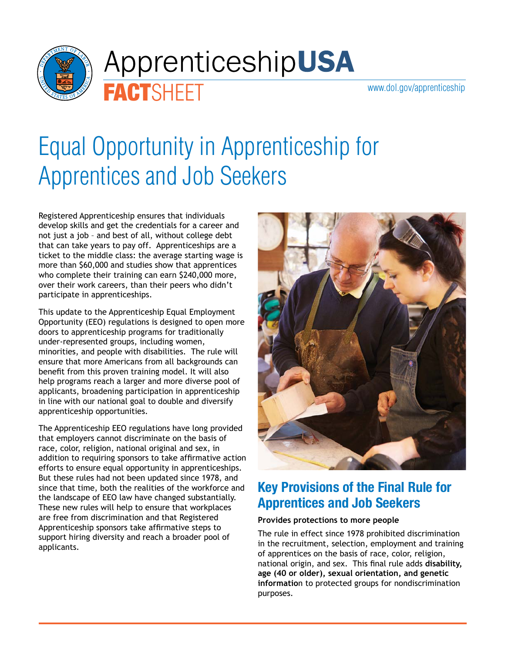

# Apprenticeship**USA**

[www.dol.gov/apprenticeship](http://www.dol.gov/apprenticeship)

## Equal Opportunity in Apprenticeship for Apprentices and Job Seekers

Registered Apprenticeship ensures that individuals develop skills and get the credentials for a career and not just a job – and best of all, without college debt that can take years to pay off. Apprenticeships are a ticket to the middle class: the average starting wage is more than \$60,000 and studies show that apprentices who complete their training can earn \$240,000 more, over their work careers, than their peers who didn't participate in apprenticeships.

**FACTSHEET** 

This update to the Apprenticeship Equal Employment Opportunity (EEO) regulations is designed to open more doors to apprenticeship programs for traditionally under-represented groups, including women, minorities, and people with disabilities. The rule will ensure that more Americans from all backgrounds can benefit from this proven training model. It will also help programs reach a larger and more diverse pool of applicants, broadening participation in apprenticeship in line with our national goal to double and diversify apprenticeship opportunities.

The Apprenticeship EEO regulations have long provided that employers cannot discriminate on the basis of race, color, religion, national original and sex, in addition to requiring sponsors to take affirmative action efforts to ensure equal opportunity in apprenticeships. But these rules had not been updated since 1978, and since that time, both the realities of the workforce and the landscape of EEO law have changed substantially. These new rules will help to ensure that workplaces are free from discrimination and that Registered Apprenticeship sponsors take affirmative steps to support hiring diversity and reach a broader pool of applicants.



### **Key Provisions of the Final Rule for Apprentices and Job Seekers**

#### **Provides protections to more people**

The rule in effect since 1978 prohibited discrimination in the recruitment, selection, employment and training of apprentices on the basis of race, color, religion, national origin, and sex. This final rule adds **disability, age (40 or older), sexual orientation, and genetic informatio**n to protected groups for nondiscrimination purposes.